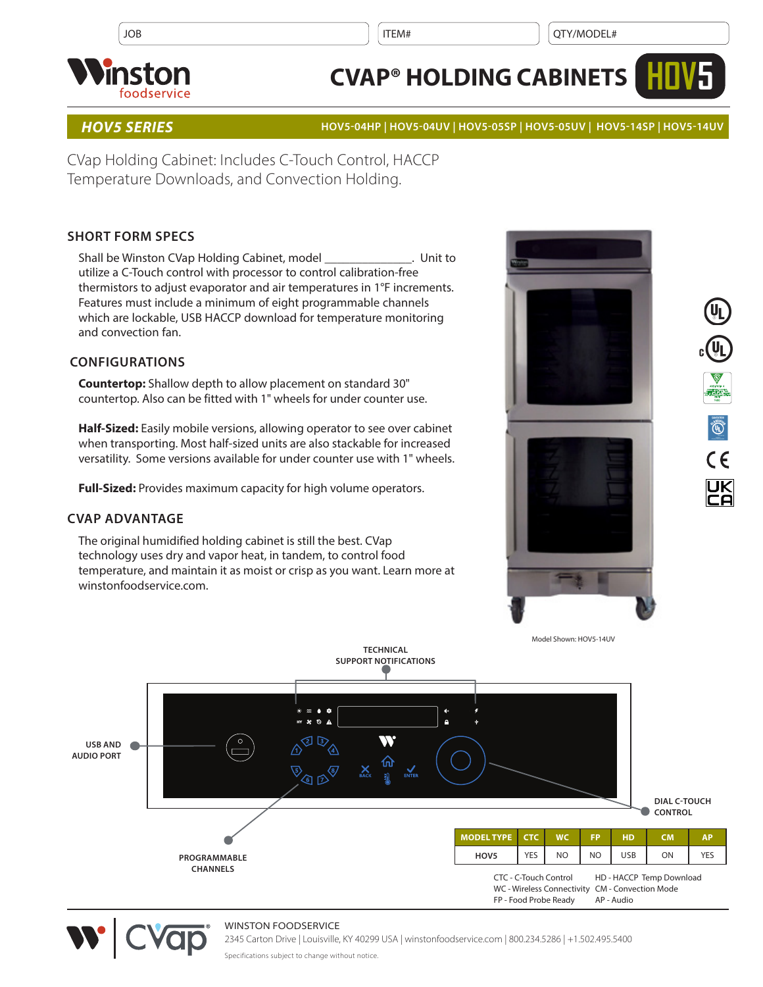

# **CVAP® HOLDING CABINETS**



### *HOV5 SERIES* **HOV5-04HP | HOV5-04UV | HOV5-05SP | HOV5-05UV | HOV5-14SP | HOV5-14UV**

CVap Holding Cabinet: Includes C-Touch Control, HACCP Temperature Downloads, and Convection Holding.

## **SHORT FORM SPECS**

Shall be Winston CVap Holding Cabinet, model \_\_\_\_\_\_\_\_\_\_\_\_\_\_. Unit to utilize a C-Touch control with processor to control calibration-free thermistors to adjust evaporator and air temperatures in 1°F increments. Features must include a minimum of eight programmable channels which are lockable, USB HACCP download for temperature monitoring and convection fan.

### **CONFIGURATIONS**

**Countertop:** Shallow depth to allow placement on standard 30" countertop. Also can be fitted with 1" wheels for under counter use.

**Half-Sized:** Easily mobile versions, allowing operator to see over cabinet when transporting. Most half-sized units are also stackable for increased versatility. Some versions available for under counter use with 1" wheels.

**Full-Sized:** Provides maximum capacity for high volume operators.

#### **CVAP ADVANTAGE**

The original humidified holding cabinet is still the best. CVap technology uses dry and vapor heat, in tandem, to control food temperature, and maintain it as moist or crisp as you want. Learn more at winstonfoodservice.com.









#### WINSTON FOODSERVICE

2345 Carton Drive | Louisville, KY 40299 USA | winstonfoodservice.com | 800.234.5286 | +1.502.495.5400

Specifications subject to change without notice.